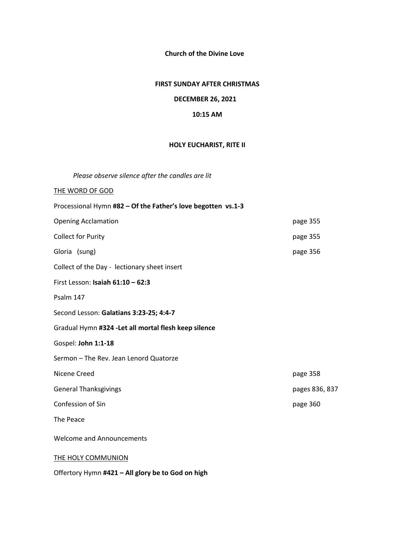**Church of the Divine Love**

## **FIRST SUNDAY AFTER CHRISTMAS**

## **DECEMBER 26, 2021**

## **10:15 AM**

## **HOLY EUCHARIST, RITE II**

*Please observe silence after the candles are lit* 

## THE WORD OF GOD

| Processional Hymn #82 - Of the Father's love begotten vs.1-3 |                |
|--------------------------------------------------------------|----------------|
| <b>Opening Acclamation</b>                                   | page 355       |
| <b>Collect for Purity</b>                                    | page 355       |
| Gloria (sung)                                                | page 356       |
| Collect of the Day - lectionary sheet insert                 |                |
| First Lesson: Isaiah $61:10 - 62:3$                          |                |
| Psalm 147                                                    |                |
| Second Lesson: Galatians 3:23-25; 4:4-7                      |                |
| Gradual Hymn #324 - Let all mortal flesh keep silence        |                |
| Gospel: John 1:1-18                                          |                |
| Sermon - The Rev. Jean Lenord Quatorze                       |                |
| Nicene Creed                                                 | page 358       |
| <b>General Thanksgivings</b>                                 | pages 836, 837 |
| Confession of Sin                                            | page 360       |
| The Peace                                                    |                |
| <b>Welcome and Announcements</b>                             |                |
| THE HOLY COMMUNION                                           |                |

Offertory Hymn **#421 – All glory be to God on high**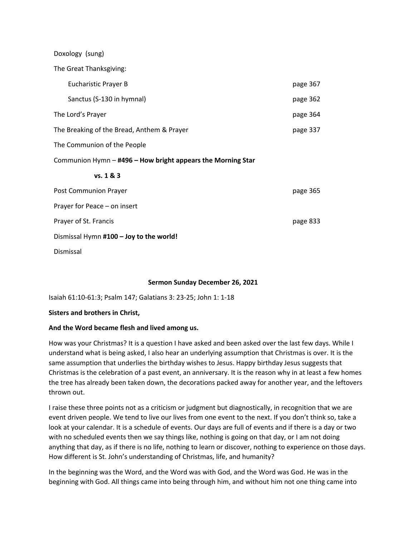Doxology (sung)

The Great Thanksgiving:

| <b>Eucharistic Prayer B</b>                                 | page 367 |
|-------------------------------------------------------------|----------|
| Sanctus (S-130 in hymnal)                                   | page 362 |
| The Lord's Prayer                                           | page 364 |
| The Breaking of the Bread, Anthem & Prayer                  | page 337 |
| The Communion of the People                                 |          |
| Communion Hymn - #496 - How bright appears the Morning Star |          |
|                                                             |          |
| vs. 1 & 8 & 3                                               |          |
| Post Communion Prayer                                       | page 365 |
| Prayer for Peace - on insert                                |          |
| Prayer of St. Francis                                       | page 833 |
| Dismissal Hymn #100 - Joy to the world!                     |          |

## **Sermon Sunday December 26, 2021**

Isaiah 61:10-61:3; Psalm 147; Galatians 3: 23-25; John 1: 1-18

#### **Sisters and brothers in Christ,**

## **And the Word became flesh and lived among us.**

How was your Christmas? It is a question I have asked and been asked over the last few days. While I understand what is being asked, I also hear an underlying assumption that Christmas is over. It is the same assumption that underlies the birthday wishes to Jesus. Happy birthday Jesus suggests that Christmas is the celebration of a past event, an anniversary. It is the reason why in at least a few homes the tree has already been taken down, the decorations packed away for another year, and the leftovers thrown out.

I raise these three points not as a criticism or judgment but diagnostically, in recognition that we are event driven people. We tend to live our lives from one event to the next. If you don't think so, take a look at your calendar. It is a schedule of events. Our days are full of events and if there is a day or two with no scheduled events then we say things like, nothing is going on that day, or I am not doing anything that day, as if there is no life, nothing to learn or discover, nothing to experience on those days. How different is St. John's understanding of Christmas, life, and humanity?

In the beginning was the Word, and the Word was with God, and the Word was God. He was in the beginning with God. All things came into being through him, and without him not one thing came into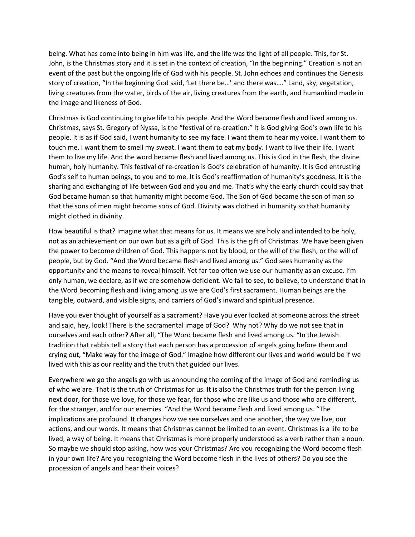being. What has come into being in him was life, and the life was the light of all people. This, for St. John, is the Christmas story and it is set in the context of creation, "In the beginning." Creation is not an event of the past but the ongoing life of God with his people. St. John echoes and continues the Genesis story of creation, "In the beginning God said, 'Let there be…' and there was…." Land, sky, vegetation, living creatures from the water, birds of the air, living creatures from the earth, and humankind made in the image and likeness of God.

Christmas is God continuing to give life to his people. And the Word became flesh and lived among us. Christmas, says St. Gregory of Nyssa, is the "festival of re-creation." It is God giving God's own life to his people. It is as if God said, I want humanity to see my face. I want them to hear my voice. I want them to touch me. I want them to smell my sweat. I want them to eat my body. I want to live their life. I want them to live my life. And the word became flesh and lived among us. This is God in the flesh, the divine human, holy humanity. This festival of re-creation is God's celebration of humanity. It is God entrusting God's self to human beings, to you and to me. It is God's reaffirmation of humanity's goodness. It is the sharing and exchanging of life between God and you and me. That's why the early church could say that God became human so that humanity might become God. The Son of God became the son of man so that the sons of men might become sons of God. Divinity was clothed in humanity so that humanity might clothed in divinity.

How beautiful is that? Imagine what that means for us. It means we are holy and intended to be holy, not as an achievement on our own but as a gift of God. This is the gift of Christmas. We have been given the power to become children of God. This happens not by blood, or the will of the flesh, or the will of people, but by God. "And the Word became flesh and lived among us." God sees humanity as the opportunity and the means to reveal himself. Yet far too often we use our humanity as an excuse. I'm only human, we declare, as if we are somehow deficient. We fail to see, to believe, to understand that in the Word becoming flesh and living among us we are God's first sacrament. Human beings are the tangible, outward, and visible signs, and carriers of God's inward and spiritual presence.

Have you ever thought of yourself as a sacrament? Have you ever looked at someone across the street and said, hey, look! There is the sacramental image of God? Why not? Why do we not see that in ourselves and each other? After all, "The Word became flesh and lived among us. "In the Jewish tradition that rabbis tell a story that each person has a procession of angels going before them and crying out, "Make way for the image of God." Imagine how different our lives and world would be if we lived with this as our reality and the truth that guided our lives.

Everywhere we go the angels go with us announcing the coming of the image of God and reminding us of who we are. That is the truth of Christmas for us. It is also the Christmas truth for the person living next door, for those we love, for those we fear, for those who are like us and those who are different, for the stranger, and for our enemies. "And the Word became flesh and lived among us. "The implications are profound. It changes how we see ourselves and one another, the way we live, our actions, and our words. It means that Christmas cannot be limited to an event. Christmas is a life to be lived, a way of being. It means that Christmas is more properly understood as a verb rather than a noun. So maybe we should stop asking, how was your Christmas? Are you recognizing the Word become flesh in your own life? Are you recognizing the Word become flesh in the lives of others? Do you see the procession of angels and hear their voices?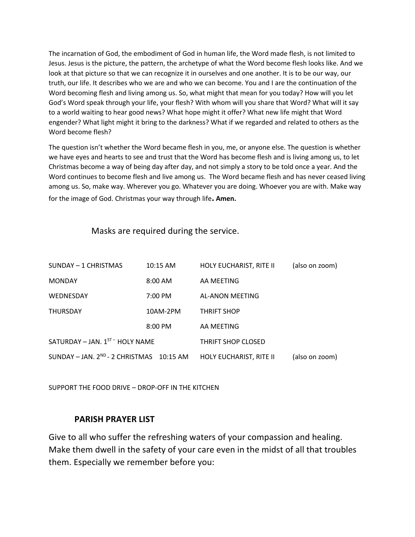The incarnation of God, the embodiment of God in human life, the Word made flesh, is not limited to Jesus. Jesus is the picture, the pattern, the archetype of what the Word become flesh looks like. And we look at that picture so that we can recognize it in ourselves and one another. It is to be our way, our truth, our life. It describes who we are and who we can become. You and I are the continuation of the Word becoming flesh and living among us. So, what might that mean for you today? How will you let God's Word speak through your life, your flesh? With whom will you share that Word? What will it say to a world waiting to hear good news? What hope might it offer? What new life might that Word engender? What light might it bring to the darkness? What if we regarded and related to others as the Word become flesh?

The question isn't whether the Word became flesh in you, me, or anyone else. The question is whether we have eyes and hearts to see and trust that the Word has become flesh and is living among us, to let Christmas become a way of being day after day, and not simply a story to be told once a year. And the Word continues to become flesh and live among us. The Word became flesh and has never ceased living among us. So, make way. Wherever you go. Whatever you are doing. Whoever you are with. Make way for the image of God. Christmas your way through life**. Amen.**

Masks are required during the service.

| SUNDAY - 1 CHRISTMAS                     | 10:15 AM          | HOLY EUCHARIST, RITE II | (also on zoom) |
|------------------------------------------|-------------------|-------------------------|----------------|
| <b>MONDAY</b>                            | $8:00$ AM         | AA MEETING              |                |
| WEDNESDAY                                | $7:00 \text{ PM}$ | AL-ANON MEETING         |                |
| <b>THURSDAY</b>                          | 10AM-2PM          | <b>THRIFT SHOP</b>      |                |
|                                          | $8:00$ PM         | AA MEETING              |                |
| SATURDAY - JAN. $1^{ST}$ HOLY NAME       |                   | THRIFT SHOP CLOSED      |                |
| SUNDAY - JAN. 2ND - 2 CHRISTMAS 10:15 AM |                   | HOLY EUCHARIST, RITE II | (also on zoom) |

SUPPORT THE FOOD DRIVE – DROP-OFF IN THE KITCHEN

# **PARISH PRAYER LIST**

Give to all who suffer the refreshing waters of your compassion and healing. Make them dwell in the safety of your care even in the midst of all that troubles them. Especially we remember before you: